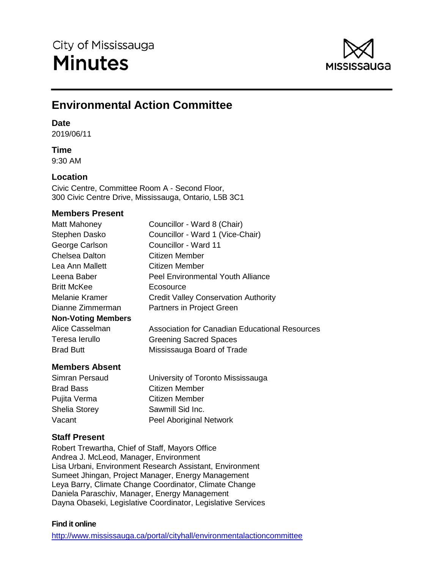

# **Environmental Action Committee**

### **Date**

2019/06/11

# **Time**

9:30 AM

# **Location**

Civic Centre, Committee Room A - Second Floor, 300 Civic Centre Drive, Mississauga, Ontario, L5B 3C1

# **Members Present**

| Matt Mahoney              | Councillor - Ward 8 (Chair)                    |
|---------------------------|------------------------------------------------|
| Stephen Dasko             | Councillor - Ward 1 (Vice-Chair)               |
| George Carlson            | Councillor - Ward 11                           |
| <b>Chelsea Dalton</b>     | Citizen Member                                 |
| Lea Ann Mallett           | Citizen Member                                 |
| Leena Baber               | <b>Peel Environmental Youth Alliance</b>       |
| <b>Britt McKee</b>        | Ecosource                                      |
| Melanie Kramer            | <b>Credit Valley Conservation Authority</b>    |
| Dianne Zimmerman          | Partners in Project Green                      |
| <b>Non-Voting Members</b> |                                                |
| Alice Casselman           | Association for Canadian Educational Resources |
| Teresa lerullo            | <b>Greening Sacred Spaces</b>                  |
| <b>Brad Butt</b>          | Mississauga Board of Trade                     |
|                           |                                                |

# **Members Absent**

| Simran Persaud       | University of Toronto Mississauga |
|----------------------|-----------------------------------|
| <b>Brad Bass</b>     | <b>Citizen Member</b>             |
| Pujita Verma         | <b>Citizen Member</b>             |
| <b>Shelia Storey</b> | Sawmill Sid Inc.                  |
| Vacant               | Peel Aboriginal Network           |

# **Staff Present**

Robert Trewartha, Chief of Staff, Mayors Office Andrea J. McLeod, Manager, Environment Lisa Urbani, Environment Research Assistant, Environment Sumeet Jhingan, Project Manager, Energy Management Leya Barry, Climate Change Coordinator, Climate Change Daniela Paraschiv, Manager, Energy Management Dayna Obaseki, Legislative Coordinator, Legislative Services

### **Find it online**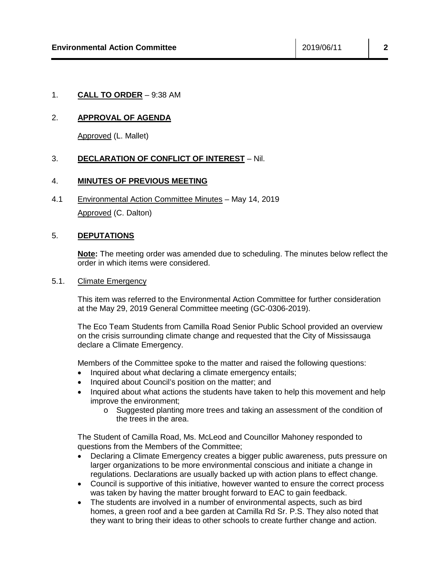### 1. **CALL TO ORDER** – 9:38 AM

### 2. **APPROVAL OF AGENDA**

Approved (L. Mallet)

### 3. **DECLARATION OF CONFLICT OF INTEREST** – Nil.

### 4. **MINUTES OF PREVIOUS MEETING**

4.1 Environmental Action Committee Minutes – May 14, 2019 Approved (C. Dalton)

#### 5. **DEPUTATIONS**

**Note:** The meeting order was amended due to scheduling. The minutes below reflect the order in which items were considered.

#### 5.1. Climate Emergency

This item was referred to the Environmental Action Committee for further consideration at the May 29, 2019 General Committee meeting (GC-0306-2019).

The Eco Team Students from Camilla Road Senior Public School provided an overview on the crisis surrounding climate change and requested that the City of Mississauga declare a Climate Emergency.

Members of the Committee spoke to the matter and raised the following questions:

- Inquired about what declaring a climate emergency entails;
- Inquired about Council's position on the matter; and
- Inquired about what actions the students have taken to help this movement and help improve the environment;
	- o Suggested planting more trees and taking an assessment of the condition of the trees in the area.

The Student of Camilla Road, Ms. McLeod and Councillor Mahoney responded to questions from the Members of the Committee;

- Declaring a Climate Emergency creates a bigger public awareness, puts pressure on larger organizations to be more environmental conscious and initiate a change in regulations. Declarations are usually backed up with action plans to effect change.
- Council is supportive of this initiative, however wanted to ensure the correct process was taken by having the matter brought forward to EAC to gain feedback.
- The students are involved in a number of environmental aspects, such as bird homes, a green roof and a bee garden at Camilla Rd Sr. P.S. They also noted that they want to bring their ideas to other schools to create further change and action.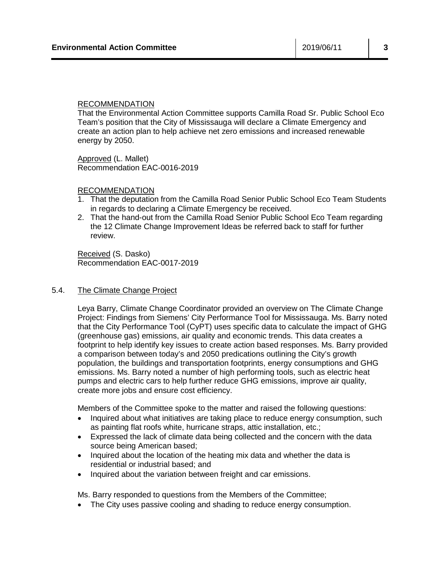#### RECOMMENDATION

That the Environmental Action Committee supports Camilla Road Sr. Public School Eco Team's position that the City of Mississauga will declare a Climate Emergency and create an action plan to help achieve net zero emissions and increased renewable energy by 2050.

Approved (L. Mallet) Recommendation EAC-0016-2019

#### RECOMMENDATION

- 1. That the deputation from the Camilla Road Senior Public School Eco Team Students in regards to declaring a Climate Emergency be received.
- 2. That the hand-out from the Camilla Road Senior Public School Eco Team regarding the 12 Climate Change Improvement Ideas be referred back to staff for further review.

Received (S. Dasko) Recommendation EAC-0017-2019

#### 5.4. The Climate Change Project

Leya Barry, Climate Change Coordinator provided an overview on The Climate Change Project: Findings from Siemens' City Performance Tool for Mississauga. Ms. Barry noted that the City Performance Tool (CyPT) uses specific data to calculate the impact of GHG (greenhouse gas) emissions, air quality and economic trends. This data creates a footprint to help identify key issues to create action based responses. Ms. Barry provided a comparison between today's and 2050 predications outlining the City's growth population, the buildings and transportation footprints, energy consumptions and GHG emissions. Ms. Barry noted a number of high performing tools, such as electric heat pumps and electric cars to help further reduce GHG emissions, improve air quality, create more jobs and ensure cost efficiency.

Members of the Committee spoke to the matter and raised the following questions:

- Inquired about what initiatives are taking place to reduce energy consumption, such as painting flat roofs white, hurricane straps, attic installation, etc.;
- Expressed the lack of climate data being collected and the concern with the data source being American based;
- Inquired about the location of the heating mix data and whether the data is residential or industrial based; and
- Inquired about the variation between freight and car emissions.

Ms. Barry responded to questions from the Members of the Committee;

• The City uses passive cooling and shading to reduce energy consumption.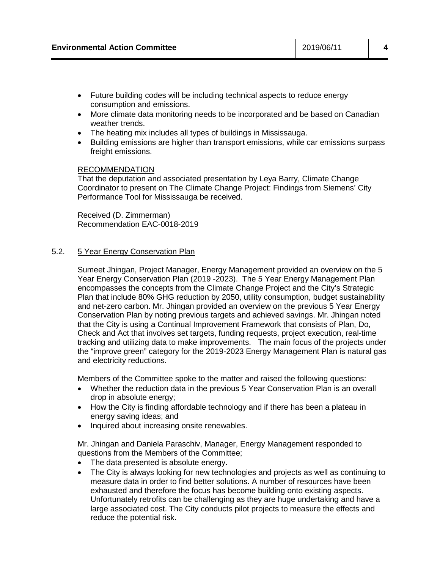- Future building codes will be including technical aspects to reduce energy consumption and emissions.
- More climate data monitoring needs to be incorporated and be based on Canadian weather trends.
- The heating mix includes all types of buildings in Mississauga.
- Building emissions are higher than transport emissions, while car emissions surpass freight emissions.

#### RECOMMENDATION

That the deputation and associated presentation by Leya Barry, Climate Change Coordinator to present on The Climate Change Project: Findings from Siemens' City Performance Tool for Mississauga be received.

Received (D. Zimmerman) Recommendation EAC-0018-2019

#### 5.2. 5 Year Energy Conservation Plan

Sumeet Jhingan, Project Manager, Energy Management provided an overview on the 5 Year Energy Conservation Plan (2019 -2023). The 5 Year Energy Management Plan encompasses the concepts from the Climate Change Project and the City's Strategic Plan that include 80% GHG reduction by 2050, utility consumption, budget sustainability and net-zero carbon. Mr. Jhingan provided an overview on the previous 5 Year Energy Conservation Plan by noting previous targets and achieved savings. Mr. Jhingan noted that the City is using a Continual Improvement Framework that consists of Plan, Do, Check and Act that involves set targets, funding requests, project execution, real-time tracking and utilizing data to make improvements. The main focus of the projects under the "improve green" category for the 2019-2023 Energy Management Plan is natural gas and electricity reductions.

Members of the Committee spoke to the matter and raised the following questions:

- Whether the reduction data in the previous 5 Year Conservation Plan is an overall drop in absolute energy;
- How the City is finding affordable technology and if there has been a plateau in energy saving ideas; and
- Inquired about increasing onsite renewables.

Mr. Jhingan and Daniela Paraschiv, Manager, Energy Management responded to questions from the Members of the Committee;

- The data presented is absolute energy.
- The City is always looking for new technologies and projects as well as continuing to measure data in order to find better solutions. A number of resources have been exhausted and therefore the focus has become building onto existing aspects. Unfortunately retrofits can be challenging as they are huge undertaking and have a large associated cost. The City conducts pilot projects to measure the effects and reduce the potential risk.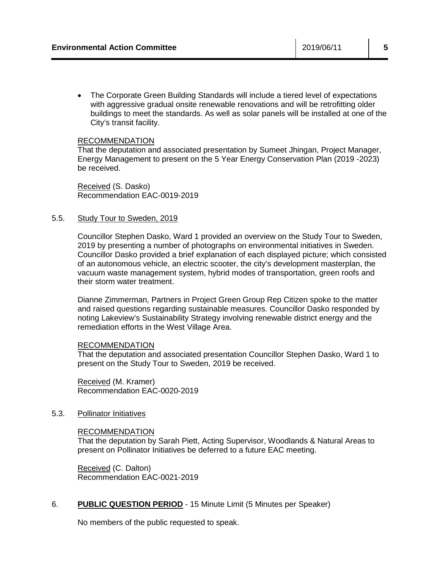• The Corporate Green Building Standards will include a tiered level of expectations with aggressive gradual onsite renewable renovations and will be retrofitting older buildings to meet the standards. As well as solar panels will be installed at one of the City's transit facility.

#### RECOMMENDATION

That the deputation and associated presentation by Sumeet Jhingan, Project Manager, Energy Management to present on the 5 Year Energy Conservation Plan (2019 -2023) be received.

Received (S. Dasko) Recommendation EAC-0019-2019

#### 5.5. Study Tour to Sweden, 2019

Councillor Stephen Dasko, Ward 1 provided an overview on the Study Tour to Sweden, 2019 by presenting a number of photographs on environmental initiatives in Sweden. Councillor Dasko provided a brief explanation of each displayed picture; which consisted of an autonomous vehicle, an electric scooter, the city's development masterplan, the vacuum waste management system, hybrid modes of transportation, green roofs and their storm water treatment.

Dianne Zimmerman, Partners in Project Green Group Rep Citizen spoke to the matter and raised questions regarding sustainable measures. Councillor Dasko responded by noting Lakeview's Sustainability Strategy involving renewable district energy and the remediation efforts in the West Village Area.

#### RECOMMENDATION

That the deputation and associated presentation Councillor Stephen Dasko, Ward 1 to present on the Study Tour to Sweden, 2019 be received.

Received (M. Kramer) Recommendation EAC-0020-2019

#### 5.3. Pollinator Initiatives

#### RECOMMENDATION

That the deputation by Sarah Piett, Acting Supervisor, Woodlands & Natural Areas to present on Pollinator Initiatives be deferred to a future EAC meeting.

Received (C. Dalton) Recommendation EAC-0021-2019

#### 6. **PUBLIC QUESTION PERIOD** - 15 Minute Limit (5 Minutes per Speaker)

No members of the public requested to speak.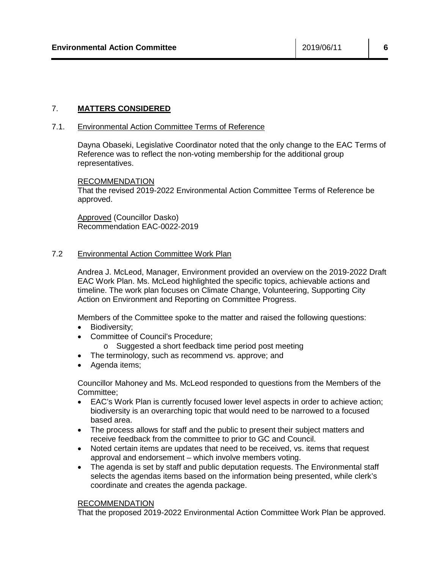# 7. **MATTERS CONSIDERED**

#### 7.1. Environmental Action Committee Terms of Reference

Dayna Obaseki, Legislative Coordinator noted that the only change to the EAC Terms of Reference was to reflect the non-voting membership for the additional group representatives.

#### RECOMMENDATION

That the revised 2019-2022 Environmental Action Committee Terms of Reference be approved.

Approved (Councillor Dasko) Recommendation EAC-0022-2019

#### 7.2 Environmental Action Committee Work Plan

Andrea J. McLeod, Manager, Environment provided an overview on the 2019-2022 Draft EAC Work Plan. Ms. McLeod highlighted the specific topics, achievable actions and timeline. The work plan focuses on Climate Change, Volunteering, Supporting City Action on Environment and Reporting on Committee Progress.

Members of the Committee spoke to the matter and raised the following questions:

- Biodiversity;
- Committee of Council's Procedure;
	- o Suggested a short feedback time period post meeting
- The terminology, such as recommend vs. approve; and
- Agenda items;

Councillor Mahoney and Ms. McLeod responded to questions from the Members of the Committee;

- EAC's Work Plan is currently focused lower level aspects in order to achieve action; biodiversity is an overarching topic that would need to be narrowed to a focused based area.
- The process allows for staff and the public to present their subject matters and receive feedback from the committee to prior to GC and Council.
- Noted certain items are updates that need to be received, vs. items that request approval and endorsement – which involve members voting.
- The agenda is set by staff and public deputation requests. The Environmental staff selects the agendas items based on the information being presented, while clerk's coordinate and creates the agenda package.

#### RECOMMENDATION

That the proposed 2019-2022 Environmental Action Committee Work Plan be approved.